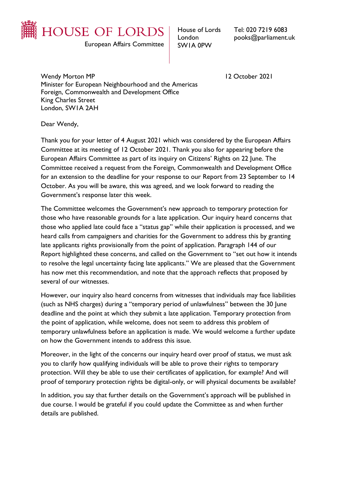

European Affairs Committee

House of Lords London SW1A 0PW

Tel: 020 7219 6083 pooks@parliament.uk

Wendy Morton MP 12 October 2021 Minister for European Neighbourhood and the Americas Foreign, Commonwealth and Development Office King Charles Street London, SW1A 2AH

Dear Wendy,

Thank you for your letter of 4 August 2021 which was considered by the European Affairs Committee at its meeting of 12 October 2021. Thank you also for appearing before the European Affairs Committee as part of its inquiry on Citizens' Rights on 22 June. The Committee received a request from the Foreign, Commonwealth and Development Office for an extension to the deadline for your response to our Report from 23 September to 14 October. As you will be aware, this was agreed, and we look forward to reading the Government's response later this week.

The Committee welcomes the Government's new approach to temporary protection for those who have reasonable grounds for a late application. Our inquiry heard concerns that those who applied late could face a "status gap" while their application is processed, and we heard calls from campaigners and charities for the Government to address this by granting late applicants rights provisionally from the point of application. Paragraph 144 of our Report highlighted these concerns, and called on the Government to "set out how it intends to resolve the legal uncertainty facing late applicants." We are pleased that the Government has now met this recommendation, and note that the approach reflects that proposed by several of our witnesses.

However, our inquiry also heard concerns from witnesses that individuals may face liabilities (such as NHS charges) during a "temporary period of unlawfulness" between the 30 June deadline and the point at which they submit a late application. Temporary protection from the point of application, while welcome, does not seem to address this problem of temporary unlawfulness before an application is made. We would welcome a further update on how the Government intends to address this issue.

Moreover, in the light of the concerns our inquiry heard over proof of status, we must ask you to clarify how qualifying individuals will be able to prove their rights to temporary protection. Will they be able to use their certificates of application, for example? And will proof of temporary protection rights be digital-only, or will physical documents be available?

In addition, you say that further details on the Government's approach will be published in due course. I would be grateful if you could update the Committee as and when further details are published.